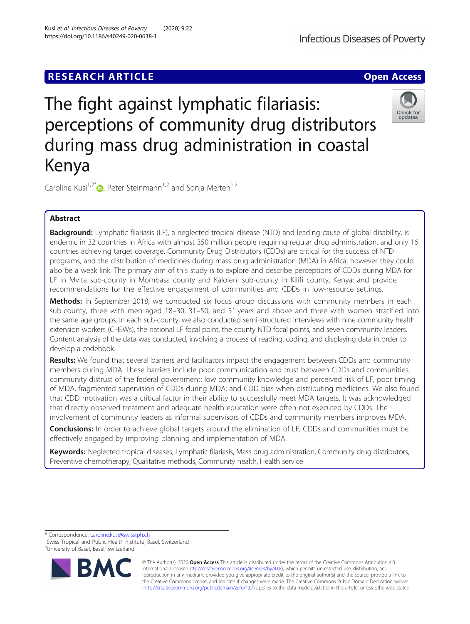# **RESEARCH ARTICLE Example 2018 12:00 Deep Access**

# The fight against lymphatic filariasis: perceptions of community drug distributors during mass drug administration in coastal Kenya

Caroline Kusi<sup>1,2[\\*](http://orcid.org/0000-0003-1102-8618)</sup> $\bullet$ , Peter Steinmann<sup>1,2</sup> and Sonja Merten<sup>1,2</sup>

# Abstract

Background: Lymphatic filariasis (LF), a neglected tropical disease (NTD) and leading cause of global disability, is endemic in 32 countries in Africa with almost 350 million people requiring regular drug administration, and only 16 countries achieving target coverage. Community Drug Distributors (CDDs) are critical for the success of NTD programs, and the distribution of medicines during mass drug administration (MDA) in Africa; however they could also be a weak link. The primary aim of this study is to explore and describe perceptions of CDDs during MDA for LF in Mvita sub-county in Mombasa county and Kaloleni sub-county in Kilifi county, Kenya; and provide recommendations for the effective engagement of communities and CDDs in low-resource settings.

Methods: In September 2018, we conducted six focus group discussions with community members in each sub-county, three with men aged 18–30, 31–50, and 51 years and above and three with women stratified into the same age groups. In each sub-county, we also conducted semi-structured interviews with nine community health extension workers (CHEWs), the national LF focal point, the county NTD focal points, and seven community leaders. Content analysis of the data was conducted, involving a process of reading, coding, and displaying data in order to develop a codebook.

Results: We found that several barriers and facilitators impact the engagement between CDDs and community members during MDA. These barriers include poor communication and trust between CDDs and communities; community distrust of the federal government; low community knowledge and perceived risk of LF, poor timing of MDA, fragmented supervision of CDDs during MDA; and CDD bias when distributing medicines. We also found that CDD motivation was a critical factor in their ability to successfully meet MDA targets. It was acknowledged that directly observed treatment and adequate health education were often not executed by CDDs. The involvement of community leaders as informal supervisors of CDDs and community members improves MDA.

**Conclusions:** In order to achieve global targets around the elimination of LF, CDDs and communities must be effectively engaged by improving planning and implementation of MDA.

Keywords: Neglected tropical diseases, Lymphatic filariasis, Mass drug administration, Community drug distributors, Preventive chemotherapy, Qualitative methods, Community health, Health service

\* Correspondence: [caroline.kusi@swisstph.ch](mailto:caroline.kusi@swisstph.ch) <sup>1</sup>

<sup>1</sup> Swiss Tropical and Public Health Institute, Basel, Switzerland <sup>2</sup>University of Basel, Basel, Switzerland







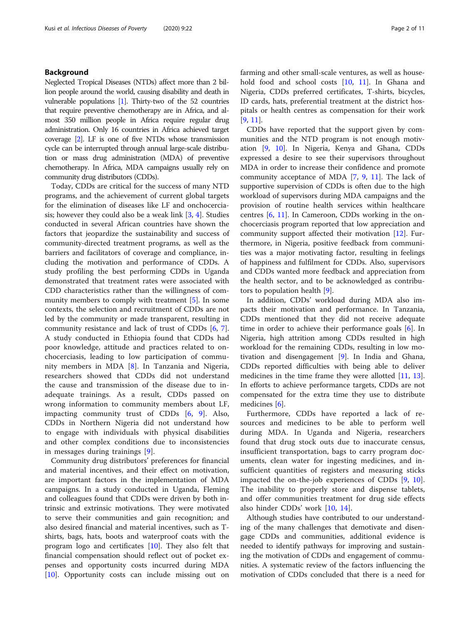# Background

Neglected Tropical Diseases (NTDs) affect more than 2 billion people around the world, causing disability and death in vulnerable populations [\[1](#page-9-0)]. Thirty-two of the 52 countries that require preventive chemotherapy are in Africa, and almost 350 million people in Africa require regular drug administration. Only 16 countries in Africa achieved target coverage [\[2\]](#page-9-0). LF is one of five NTDs whose transmission cycle can be interrupted through annual large-scale distribution or mass drug administration (MDA) of preventive chemotherapy. In Africa, MDA campaigns usually rely on community drug distributors (CDDs).

Today, CDDs are critical for the success of many NTD programs, and the achievement of current global targets for the elimination of diseases like LF and onchocerciasis; however they could also be a weak link  $[3, 4]$  $[3, 4]$  $[3, 4]$ . Studies conducted in several African countries have shown the factors that jeopardize the sustainability and success of community-directed treatment programs, as well as the barriers and facilitators of coverage and compliance, including the motivation and performance of CDDs. A study profiling the best performing CDDs in Uganda demonstrated that treatment rates were associated with CDD characteristics rather than the willingness of community members to comply with treatment [\[5](#page-9-0)]. In some contexts, the selection and recruitment of CDDs are not led by the community or made transparent, resulting in community resistance and lack of trust of CDDs [\[6](#page-9-0), [7](#page-9-0)]. A study conducted in Ethiopia found that CDDs had poor knowledge, attitude and practices related to onchocerciasis, leading to low participation of community members in MDA [[8\]](#page-9-0). In Tanzania and Nigeria, researchers showed that CDDs did not understand the cause and transmission of the disease due to inadequate trainings. As a result, CDDs passed on wrong information to community members about LF, impacting community trust of CDDs [[6,](#page-9-0) [9\]](#page-9-0). Also, CDDs in Northern Nigeria did not understand how to engage with individuals with physical disabilities and other complex conditions due to inconsistencies in messages during trainings [[9\]](#page-9-0).

Community drug distributors' preferences for financial and material incentives, and their effect on motivation, are important factors in the implementation of MDA campaigns. In a study conducted in Uganda, Fleming and colleagues found that CDDs were driven by both intrinsic and extrinsic motivations. They were motivated to serve their communities and gain recognition; and also desired financial and material incentives, such as Tshirts, bags, hats, boots and waterproof coats with the program logo and certificates [\[10](#page-9-0)]. They also felt that financial compensation should reflect out of pocket expenses and opportunity costs incurred during MDA [[10\]](#page-9-0). Opportunity costs can include missing out on farming and other small-scale ventures, as well as house-hold food and school costs [[10](#page-9-0), [11](#page-9-0)]. In Ghana and Nigeria, CDDs preferred certificates, T-shirts, bicycles, ID cards, hats, preferential treatment at the district hospitals or health centres as compensation for their work [[9,](#page-9-0) [11\]](#page-9-0).

CDDs have reported that the support given by communities and the NTD program is not enough motivation [\[9](#page-9-0), [10\]](#page-9-0). In Nigeria, Kenya and Ghana, CDDs expressed a desire to see their supervisors throughout MDA in order to increase their confidence and promote community acceptance of MDA [\[7](#page-9-0), [9,](#page-9-0) [11\]](#page-9-0). The lack of supportive supervision of CDDs is often due to the high workload of supervisors during MDA campaigns and the provision of routine health services within healthcare centres [[6,](#page-9-0) [11](#page-9-0)]. In Cameroon, CDDs working in the onchocerciasis program reported that low appreciation and community support affected their motivation [[12](#page-9-0)]. Furthermore, in Nigeria, positive feedback from communities was a major motivating factor, resulting in feelings of happiness and fulfilment for CDDs. Also, supervisors and CDDs wanted more feedback and appreciation from the health sector, and to be acknowledged as contributors to population health [[9\]](#page-9-0).

In addition, CDDs' workload during MDA also impacts their motivation and performance. In Tanzania, CDDs mentioned that they did not receive adequate time in order to achieve their performance goals [[6\]](#page-9-0). In Nigeria, high attrition among CDDs resulted in high workload for the remaining CDDs, resulting in low motivation and disengagement [[9\]](#page-9-0). In India and Ghana, CDDs reported difficulties with being able to deliver medicines in the time frame they were allotted [[11,](#page-9-0) [13](#page-10-0)]. In efforts to achieve performance targets, CDDs are not compensated for the extra time they use to distribute medicines [[6\]](#page-9-0).

Furthermore, CDDs have reported a lack of resources and medicines to be able to perform well during MDA. In Uganda and Nigeria, researchers found that drug stock outs due to inaccurate census, insufficient transportation, bags to carry program documents, clean water for ingesting medicines, and insufficient quantities of registers and measuring sticks impacted the on-the-job experiences of CDDs [[9,](#page-9-0) [10](#page-9-0)]. The inability to properly store and dispense tablets, and offer communities treatment for drug side effects also hinder CDDs' work [[10](#page-9-0), [14](#page-10-0)].

Although studies have contributed to our understanding of the many challenges that demotivate and disengage CDDs and communities, additional evidence is needed to identify pathways for improving and sustaining the motivation of CDDs and engagement of communities. A systematic review of the factors influencing the motivation of CDDs concluded that there is a need for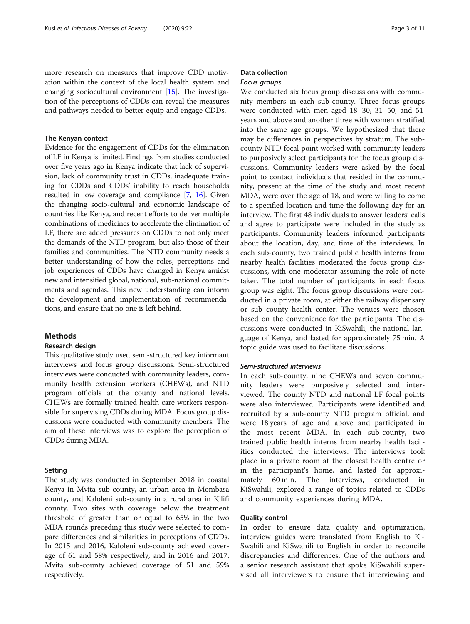more research on measures that improve CDD motivation within the context of the local health system and changing sociocultural environment [[15](#page-10-0)]. The investigation of the perceptions of CDDs can reveal the measures and pathways needed to better equip and engage CDDs.

#### The Kenyan context

Evidence for the engagement of CDDs for the elimination of LF in Kenya is limited. Findings from studies conducted over five years ago in Kenya indicate that lack of supervision, lack of community trust in CDDs, inadequate training for CDDs and CDDs' inability to reach households resulted in low coverage and compliance [\[7,](#page-9-0) [16](#page-10-0)]. Given the changing socio-cultural and economic landscape of countries like Kenya, and recent efforts to deliver multiple combinations of medicines to accelerate the elimination of LF, there are added pressures on CDDs to not only meet the demands of the NTD program, but also those of their families and communities. The NTD community needs a better understanding of how the roles, perceptions and job experiences of CDDs have changed in Kenya amidst new and intensified global, national, sub-national commitments and agendas. This new understanding can inform the development and implementation of recommendations, and ensure that no one is left behind.

# Methods

#### Research design

This qualitative study used semi-structured key informant interviews and focus group discussions. Semi-structured interviews were conducted with community leaders, community health extension workers (CHEWs), and NTD program officials at the county and national levels. CHEWs are formally trained health care workers responsible for supervising CDDs during MDA. Focus group discussions were conducted with community members. The aim of these interviews was to explore the perception of CDDs during MDA.

## Setting

The study was conducted in September 2018 in coastal Kenya in Mvita sub-county, an urban area in Mombasa county, and Kaloleni sub-county in a rural area in Kilifi county. Two sites with coverage below the treatment threshold of greater than or equal to 65% in the two MDA rounds preceding this study were selected to compare differences and similarities in perceptions of CDDs. In 2015 and 2016, Kaloleni sub-county achieved coverage of 61 and 58% respectively, and in 2016 and 2017, Mvita sub-county achieved coverage of 51 and 59% respectively.

# Data collection Focus groups

We conducted six focus group discussions with community members in each sub-county. Three focus groups were conducted with men aged 18–30, 31–50, and 51 years and above and another three with women stratified into the same age groups. We hypothesized that there may be differences in perspectives by stratum. The subcounty NTD focal point worked with community leaders to purposively select participants for the focus group discussions. Community leaders were asked by the focal point to contact individuals that resided in the community, present at the time of the study and most recent MDA, were over the age of 18, and were willing to come to a specified location and time the following day for an interview. The first 48 individuals to answer leaders' calls and agree to participate were included in the study as participants. Community leaders informed participants about the location, day, and time of the interviews. In each sub-county, two trained public health interns from nearby health facilities moderated the focus group discussions, with one moderator assuming the role of note taker. The total number of participants in each focus group was eight. The focus group discussions were conducted in a private room, at either the railway dispensary or sub county health center. The venues were chosen based on the convenience for the participants. The discussions were conducted in KiSwahili, the national language of Kenya, and lasted for approximately 75 min. A topic guide was used to facilitate discussions.

# Semi-structured interviews

In each sub-county, nine CHEWs and seven community leaders were purposively selected and interviewed. The county NTD and national LF focal points were also interviewed. Participants were identified and recruited by a sub-county NTD program official, and were 18 years of age and above and participated in the most recent MDA. In each sub-county, two trained public health interns from nearby health facilities conducted the interviews. The interviews took place in a private room at the closest health centre or in the participant's home, and lasted for approximately 60 min. The interviews, conducted in KiSwahili, explored a range of topics related to CDDs and community experiences during MDA.

#### Quality control

In order to ensure data quality and optimization, interview guides were translated from English to Ki-Swahili and KiSwahili to English in order to reconcile discrepancies and differences. One of the authors and a senior research assistant that spoke KiSwahili supervised all interviewers to ensure that interviewing and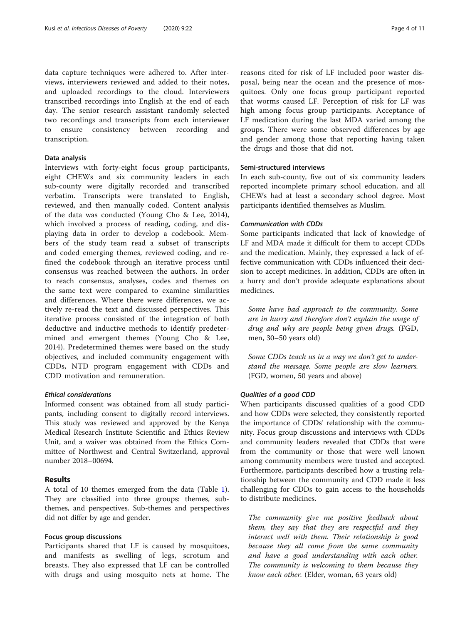data capture techniques were adhered to. After interviews, interviewers reviewed and added to their notes, and uploaded recordings to the cloud. Interviewers transcribed recordings into English at the end of each day. The senior research assistant randomly selected two recordings and transcripts from each interviewer to ensure consistency between recording and transcription.

# Data analysis

Interviews with forty-eight focus group participants, eight CHEWs and six community leaders in each sub-county were digitally recorded and transcribed verbatim. Transcripts were translated to English, reviewed, and then manually coded. Content analysis of the data was conducted (Young Cho & Lee, 2014), which involved a process of reading, coding, and displaying data in order to develop a codebook. Members of the study team read a subset of transcripts and coded emerging themes, reviewed coding, and refined the codebook through an iterative process until consensus was reached between the authors. In order to reach consensus, analyses, codes and themes on the same text were compared to examine similarities and differences. Where there were differences, we actively re-read the text and discussed perspectives. This iterative process consisted of the integration of both deductive and inductive methods to identify predetermined and emergent themes (Young Cho & Lee, 2014). Predetermined themes were based on the study objectives, and included community engagement with CDDs, NTD program engagement with CDDs and CDD motivation and remuneration.

#### Ethical considerations

Informed consent was obtained from all study participants, including consent to digitally record interviews. This study was reviewed and approved by the Kenya Medical Research Institute Scientific and Ethics Review Unit, and a waiver was obtained from the Ethics Committee of Northwest and Central Switzerland, approval number 2018–00694.

# Results

A total of 10 themes emerged from the data (Table [1](#page-4-0)). They are classified into three groups: themes, subthemes, and perspectives. Sub-themes and perspectives did not differ by age and gender.

# Focus group discussions

Participants shared that LF is caused by mosquitoes, and manifests as swelling of legs, scrotum and breasts. They also expressed that LF can be controlled with drugs and using mosquito nets at home. The

reasons cited for risk of LF included poor waster disposal, being near the ocean and the presence of mosquitoes. Only one focus group participant reported that worms caused LF. Perception of risk for LF was high among focus group participants. Acceptance of LF medication during the last MDA varied among the groups. There were some observed differences by age and gender among those that reporting having taken the drugs and those that did not.

## Semi-structured interviews

In each sub-county, five out of six community leaders reported incomplete primary school education, and all CHEWs had at least a secondary school degree. Most participants identified themselves as Muslim.

## Communication with CDDs

Some participants indicated that lack of knowledge of LF and MDA made it difficult for them to accept CDDs and the medication. Mainly, they expressed a lack of effective communication with CDDs influenced their decision to accept medicines. In addition, CDDs are often in a hurry and don't provide adequate explanations about medicines.

Some have bad approach to the community. Some are in hurry and therefore don't explain the usage of drug and why are people being given drugs. (FGD, men, 30–50 years old)

Some CDDs teach us in a way we don't get to understand the message. Some people are slow learners. (FGD, women, 50 years and above)

#### Qualities of a good CDD

When participants discussed qualities of a good CDD and how CDDs were selected, they consistently reported the importance of CDDs' relationship with the community. Focus group discussions and interviews with CDDs and community leaders revealed that CDDs that were from the community or those that were well known among community members were trusted and accepted. Furthermore, participants described how a trusting relationship between the community and CDD made it less challenging for CDDs to gain access to the households to distribute medicines.

The community give me positive feedback about them, they say that they are respectful and they interact well with them. Their relationship is good because they all come from the same community and have a good understanding with each other. The community is welcoming to them because they know each other. (Elder, woman, 63 years old)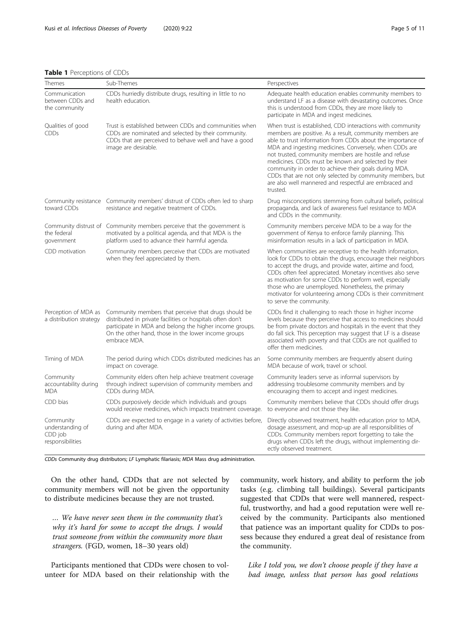## <span id="page-4-0"></span>Table 1 Perceptions of CDDs

| Themes                                                       | Sub-Themes                                                                                                                                                                                                                                           | Perspectives                                                                                                                                                                                                                                                                                                                                                                                                                                                                                                                                                |
|--------------------------------------------------------------|------------------------------------------------------------------------------------------------------------------------------------------------------------------------------------------------------------------------------------------------------|-------------------------------------------------------------------------------------------------------------------------------------------------------------------------------------------------------------------------------------------------------------------------------------------------------------------------------------------------------------------------------------------------------------------------------------------------------------------------------------------------------------------------------------------------------------|
| Communication<br>between CDDs and<br>the community           | CDDs hurriedly distribute drugs, resulting in little to no<br>health education.                                                                                                                                                                      | Adequate health education enables community members to<br>understand LF as a disease with devastating outcomes. Once<br>this is understood from CDDs, they are more likely to<br>participate in MDA and ingest medicines.                                                                                                                                                                                                                                                                                                                                   |
| Qualities of good<br><b>CDDs</b>                             | Trust is established between CDDs and communities when<br>CDDs are nominated and selected by their community.<br>CDDs that are perceived to behave well and have a good<br>image are desirable.                                                      | When trust is established, CDD interactions with community<br>members are positive. As a result, community members are<br>able to trust information from CDDs about the importance of<br>MDA and ingesting medicines. Conversely, when CDDs are<br>not trusted, community members are hostile and refuse<br>medicines. CDDs must be known and selected by their<br>community in order to achieve their goals during MDA.<br>CDDs that are not only selected by community members, but<br>are also well mannered and respectful are embraced and<br>trusted. |
| toward CDDs                                                  | Community resistance Community members' distrust of CDDs often led to sharp<br>resistance and negative treatment of CDDs.                                                                                                                            | Drug misconceptions stemming from cultural beliefs, political<br>propaganda, and lack of awareness fuel resistance to MDA<br>and CDDs in the community.                                                                                                                                                                                                                                                                                                                                                                                                     |
| the federal<br>government                                    | Community distrust of Community members perceive that the government is<br>motivated by a political agenda, and that MDA is the<br>platform used to advance their harmful agenda.                                                                    | Community members perceive MDA to be a way for the<br>government of Kenya to enforce family planning. This<br>misinformation results in a lack of participation in MDA.                                                                                                                                                                                                                                                                                                                                                                                     |
| CDD motivation                                               | Community members perceive that CDDs are motivated<br>when they feel appreciated by them.                                                                                                                                                            | When communities are receptive to the health information,<br>look for CDDs to obtain the drugs, encourage their neighbors<br>to accept the drugs, and provide water, airtime and food,<br>CDDs often feel appreciated. Monetary incentives also serve<br>as motivation for some CDDs to perform well, especially<br>those who are unemployed. Nonetheless, the primary<br>motivator for volunteering among CDDs is their commitment<br>to serve the community.                                                                                              |
| Perception of MDA as<br>a distribution strategy              | Community members that perceive that drugs should be<br>distributed in private facilities or hospitals often don't<br>participate in MDA and belong the higher income groups.<br>On the other hand, those in the lower income groups<br>embrace MDA. | CDDs find it challenging to reach those in higher income<br>levels because they perceive that access to medicines should<br>be from private doctors and hospitals in the event that they<br>do fall sick. This perception may suggest that LF is a disease<br>associated with poverty and that CDDs are not qualified to<br>offer them medicines.                                                                                                                                                                                                           |
| Timing of MDA                                                | The period during which CDDs distributed medicines has an<br>impact on coverage.                                                                                                                                                                     | Some community members are frequently absent during<br>MDA because of work, travel or school.                                                                                                                                                                                                                                                                                                                                                                                                                                                               |
| Community<br>accountability during<br><b>MDA</b>             | Community elders often help achieve treatment coverage<br>through indirect supervision of community members and<br>CDDs during MDA.                                                                                                                  | Community leaders serve as informal supervisors by<br>addressing troublesome community members and by<br>encouraging them to accept and ingest medicines.                                                                                                                                                                                                                                                                                                                                                                                                   |
| CDD bias                                                     | CDDs purposively decide which individuals and groups<br>would receive medicines, which impacts treatment coverage.                                                                                                                                   | Community members believe that CDDs should offer drugs<br>to everyone and not those they like.                                                                                                                                                                                                                                                                                                                                                                                                                                                              |
| Community<br>understanding of<br>CDD job<br>responsibilities | CDDs are expected to engage in a variety of activities before,<br>during and after MDA.                                                                                                                                                              | Directly observed treatment, health education prior to MDA,<br>dosage assessment, and mop-up are all responsibilities of<br>CDDs. Community members report forgetting to take the<br>drugs when CDDs left the drugs, without implementing dir-<br>ectly observed treatment.                                                                                                                                                                                                                                                                                 |

CDDs Community drug distributors; LF Lymphatic filariasis; MDA Mass drug administration.

On the other hand, CDDs that are not selected by community members will not be given the opportunity to distribute medicines because they are not trusted.

… We have never seen them in the community that's why it's hard for some to accept the drugs. I would trust someone from within the community more than strangers. (FGD, women, 18–30 years old)

Participants mentioned that CDDs were chosen to volunteer for MDA based on their relationship with the community, work history, and ability to perform the job tasks (e.g. climbing tall buildings). Several participants suggested that CDDs that were well mannered, respectful, trustworthy, and had a good reputation were well received by the community. Participants also mentioned that patience was an important quality for CDDs to possess because they endured a great deal of resistance from the community.

Like I told you, we don't choose people if they have a bad image, unless that person has good relations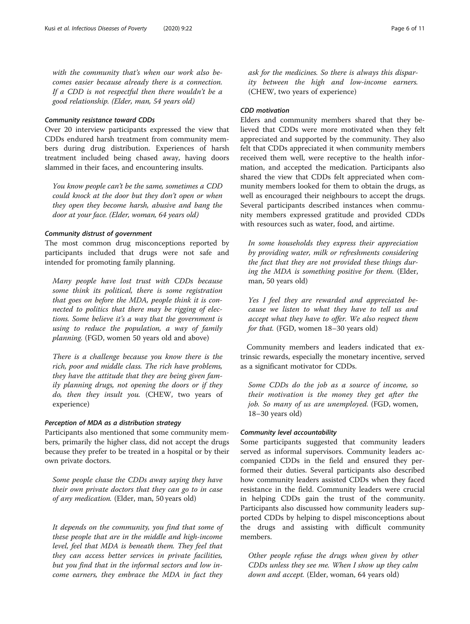with the community that's when our work also becomes easier because already there is a connection. If a CDD is not respectful then there wouldn't be a good relationship. (Elder, man, 54 years old)

#### Community resistance toward CDDs

Over 20 interview participants expressed the view that CDDs endured harsh treatment from community members during drug distribution. Experiences of harsh treatment included being chased away, having doors slammed in their faces, and encountering insults.

You know people can't be the same, sometimes a CDD could knock at the door but they don't open or when they open they become harsh, abusive and bang the door at your face. (Elder, woman, 64 years old)

#### Community distrust of government

The most common drug misconceptions reported by participants included that drugs were not safe and intended for promoting family planning.

Many people have lost trust with CDDs because some think its political, there is some registration that goes on before the MDA, people think it is connected to politics that there may be rigging of elections. Some believe it's a way that the government is using to reduce the population, a way of family planning. (FGD, women 50 years old and above)

There is a challenge because you know there is the rich, poor and middle class. The rich have problems, they have the attitude that they are being given family planning drugs, not opening the doors or if they do, then they insult you. (CHEW, two years of experience)

#### Perception of MDA as a distribution strategy

Participants also mentioned that some community members, primarily the higher class, did not accept the drugs because they prefer to be treated in a hospital or by their own private doctors.

Some people chase the CDDs away saying they have their own private doctors that they can go to in case of any medication. (Elder, man, 50 years old)

It depends on the community, you find that some of these people that are in the middle and high-income level, feel that MDA is beneath them. They feel that they can access better services in private facilities, but you find that in the informal sectors and low income earners, they embrace the MDA in fact they

ask for the medicines. So there is always this disparity between the high and low-income earners. (CHEW, two years of experience)

# CDD motivation

Elders and community members shared that they believed that CDDs were more motivated when they felt appreciated and supported by the community. They also felt that CDDs appreciated it when community members received them well, were receptive to the health information, and accepted the medication. Participants also shared the view that CDDs felt appreciated when community members looked for them to obtain the drugs, as well as encouraged their neighbours to accept the drugs. Several participants described instances when community members expressed gratitude and provided CDDs with resources such as water, food, and airtime.

In some households they express their appreciation by providing water, milk or refreshments considering the fact that they are not provided these things during the MDA is something positive for them. (Elder, man, 50 years old)

Yes I feel they are rewarded and appreciated because we listen to what they have to tell us and accept what they have to offer. We also respect them for that. (FGD, women 18–30 years old)

Community members and leaders indicated that extrinsic rewards, especially the monetary incentive, served as a significant motivator for CDDs.

Some CDDs do the job as a source of income, so their motivation is the money they get after the job. So many of us are unemployed. (FGD, women, 18–30 years old)

# Community level accountability

Some participants suggested that community leaders served as informal supervisors. Community leaders accompanied CDDs in the field and ensured they performed their duties. Several participants also described how community leaders assisted CDDs when they faced resistance in the field. Community leaders were crucial in helping CDDs gain the trust of the community. Participants also discussed how community leaders supported CDDs by helping to dispel misconceptions about the drugs and assisting with difficult community members.

Other people refuse the drugs when given by other CDDs unless they see me. When I show up they calm down and accept. (Elder, woman, 64 years old)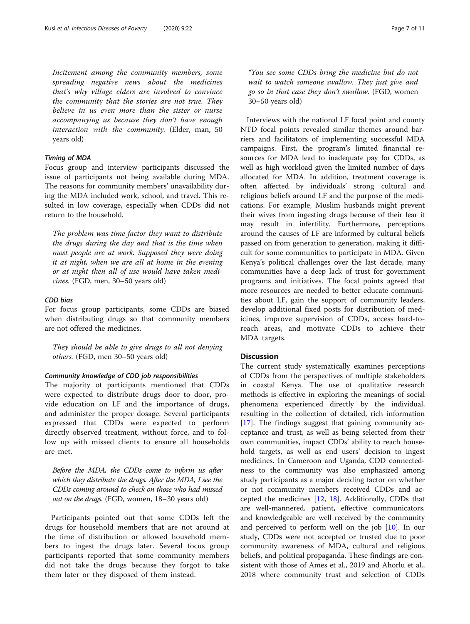Incitement among the community members, some spreading negative news about the medicines that's why village elders are involved to convince the community that the stories are not true. They believe in us even more than the sister or nurse accompanying us because they don't have enough interaction with the community. (Elder, man, 50 years old)

# Timing of MDA

Focus group and interview participants discussed the issue of participants not being available during MDA. The reasons for community members' unavailability during the MDA included work, school, and travel. This resulted in low coverage, especially when CDDs did not return to the household.

The problem was time factor they want to distribute the drugs during the day and that is the time when most people are at work. Supposed they were doing it at night, when we are all at home in the evening or at night then all of use would have taken medicines. (FGD, men, 30–50 years old)

#### CDD bias

For focus group participants, some CDDs are biased when distributing drugs so that community members are not offered the medicines.

They should be able to give drugs to all not denying others. (FGD, men 30–50 years old)

#### Community knowledge of CDD job responsibilities

The majority of participants mentioned that CDDs were expected to distribute drugs door to door, provide education on LF and the importance of drugs, and administer the proper dosage. Several participants expressed that CDDs were expected to perform directly observed treatment, without force, and to follow up with missed clients to ensure all households are met.

Before the MDA, the CDDs come to inform us after which they distribute the drugs. After the MDA, I see the CDDs coming around to check on those who had missed out on the drugs. (FGD, women, 18–30 years old)

Participants pointed out that some CDDs left the drugs for household members that are not around at the time of distribution or allowed household members to ingest the drugs later. Several focus group participants reported that some community members did not take the drugs because they forgot to take them later or they disposed of them instead.

"You see some CDDs bring the medicine but do not wait to watch someone swallow. They just give and go so in that case they don't swallow. (FGD, women 30–50 years old)

Interviews with the national LF focal point and county NTD focal points revealed similar themes around barriers and facilitators of implementing successful MDA campaigns. First, the program's limited financial resources for MDA lead to inadequate pay for CDDs, as well as high workload given the limited number of days allocated for MDA. In addition, treatment coverage is often affected by individuals' strong cultural and religious beliefs around LF and the purpose of the medications. For example, Muslim husbands might prevent their wives from ingesting drugs because of their fear it may result in infertility. Furthermore, perceptions around the causes of LF are informed by cultural beliefs passed on from generation to generation, making it difficult for some communities to participate in MDA. Given Kenya's political challenges over the last decade, many communities have a deep lack of trust for government programs and initiatives. The focal points agreed that more resources are needed to better educate communities about LF, gain the support of community leaders, develop additional fixed posts for distribution of medicines, improve supervision of CDDs, access hard-toreach areas, and motivate CDDs to achieve their MDA targets.

# **Discussion**

The current study systematically examines perceptions of CDDs from the perspectives of multiple stakeholders in coastal Kenya. The use of qualitative research methods is effective in exploring the meanings of social phenomena experienced directly by the individual, resulting in the collection of detailed, rich information [[17\]](#page-10-0). The findings suggest that gaining community acceptance and trust, as well as being selected from their own communities, impact CDDs' ability to reach household targets, as well as end users' decision to ingest medicines. In Cameroon and Uganda, CDD connectedness to the community was also emphasized among study participants as a major deciding factor on whether or not community members received CDDs and accepted the medicines [\[12](#page-9-0), [18](#page-10-0)]. Additionally, CDDs that are well-mannered, patient, effective communicators, and knowledgeable are well received by the community and perceived to perform well on the job [[10](#page-9-0)]. In our study, CDDs were not accepted or trusted due to poor community awareness of MDA, cultural and religious beliefs, and political propaganda. These findings are consistent with those of Ames et al., 2019 and Ahorlu et al., 2018 where community trust and selection of CDDs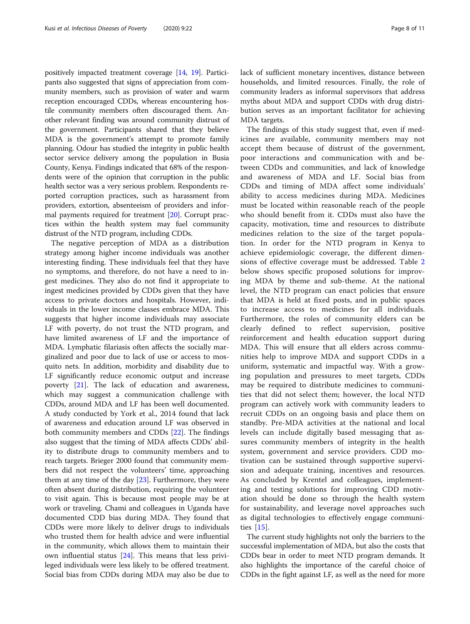positively impacted treatment coverage [[14,](#page-10-0) [19\]](#page-10-0). Participants also suggested that signs of appreciation from community members, such as provision of water and warm reception encouraged CDDs, whereas encountering hostile community members often discouraged them. Another relevant finding was around community distrust of the government. Participants shared that they believe MDA is the government's attempt to promote family planning. Odour has studied the integrity in public health sector service delivery among the population in Busia County, Kenya. Findings indicated that 68% of the respondents were of the opinion that corruption in the public health sector was a very serious problem. Respondents reported corruption practices, such as harassment from providers, extortion, absenteeism of providers and informal payments required for treatment [\[20](#page-10-0)]. Corrupt practices within the health system may fuel community distrust of the NTD program, including CDDs.

The negative perception of MDA as a distribution strategy among higher income individuals was another interesting finding. These individuals feel that they have no symptoms, and therefore, do not have a need to ingest medicines. They also do not find it appropriate to ingest medicines provided by CDDs given that they have access to private doctors and hospitals. However, individuals in the lower income classes embrace MDA. This suggests that higher income individuals may associate LF with poverty, do not trust the NTD program, and have limited awareness of LF and the importance of MDA. Lymphatic filariasis often affects the socially marginalized and poor due to lack of use or access to mosquito nets. In addition, morbidity and disability due to LF significantly reduce economic output and increase poverty [[21\]](#page-10-0). The lack of education and awareness, which may suggest a communication challenge with CDDs, around MDA and LF has been well documented. A study conducted by York et al., 2014 found that lack of awareness and education around LF was observed in both community members and CDDs [[22\]](#page-10-0). The findings also suggest that the timing of MDA affects CDDs' ability to distribute drugs to community members and to reach targets. Brieger 2000 found that community members did not respect the volunteers' time, approaching them at any time of the day [[23\]](#page-10-0). Furthermore, they were often absent during distribution, requiring the volunteer to visit again. This is because most people may be at work or traveling. Chami and colleagues in Uganda have documented CDD bias during MDA. They found that CDDs were more likely to deliver drugs to individuals who trusted them for health advice and were influential in the community, which allows them to maintain their own influential status [[24](#page-10-0)]. This means that less privileged individuals were less likely to be offered treatment. Social bias from CDDs during MDA may also be due to lack of sufficient monetary incentives, distance between households, and limited resources. Finally, the role of community leaders as informal supervisors that address myths about MDA and support CDDs with drug distribution serves as an important facilitator for achieving MDA targets.

The findings of this study suggest that, even if medicines are available, community members may not accept them because of distrust of the government, poor interactions and communication with and between CDDs and communities, and lack of knowledge and awareness of MDA and LF. Social bias from CDDs and timing of MDA affect some individuals' ability to access medicines during MDA. Medicines must be located within reasonable reach of the people who should benefit from it. CDDs must also have the capacity, motivation, time and resources to distribute medicines relation to the size of the target population. In order for the NTD program in Kenya to achieve epidemiologic coverage, the different dimensions of effective coverage must be addressed. Table [2](#page-8-0) below shows specific proposed solutions for improving MDA by theme and sub-theme. At the national level, the NTD program can enact policies that ensure that MDA is held at fixed posts, and in public spaces to increase access to medicines for all individuals. Furthermore, the roles of community elders can be clearly defined to reflect supervision, positive reinforcement and health education support during MDA. This will ensure that all elders across communities help to improve MDA and support CDDs in a uniform, systematic and impactful way. With a growing population and pressures to meet targets, CDDs may be required to distribute medicines to communities that did not select them; however, the local NTD program can actively work with community leaders to recruit CDDs on an ongoing basis and place them on standby. Pre-MDA activities at the national and local levels can include digitally based messaging that assures community members of integrity in the health system, government and service providers. CDD motivation can be sustained through supportive supervision and adequate training, incentives and resources. As concluded by Krentel and colleagues, implementing and testing solutions for improving CDD motivation should be done so through the health system for sustainability, and leverage novel approaches such as digital technologies to effectively engage communities [\[15](#page-10-0)].

The current study highlights not only the barriers to the successful implementation of MDA, but also the costs that CDDs bear in order to meet NTD program demands. It also highlights the importance of the careful choice of CDDs in the fight against LF, as well as the need for more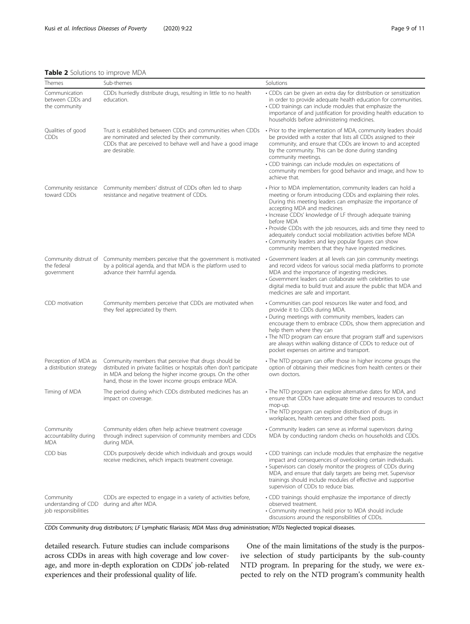Themes Sub-themes Sub-themes Sub-themes Solutions Solutions

# <span id="page-8-0"></span>Table 2 Solutions to improve MDA

| Communication<br>between CDDs and<br>the community        | CDDs hurriedly distribute drugs, resulting in little to no health<br>education.                                                                                                                                                                   | • CDDs can be given an extra day for distribution or sensitization<br>in order to provide adequate health education for communities.<br>• CDD trainings can include modules that emphasize the<br>importance of and justification for providing health education to<br>households before administering medicines.                                                                                                                                                                                                                                           |
|-----------------------------------------------------------|---------------------------------------------------------------------------------------------------------------------------------------------------------------------------------------------------------------------------------------------------|-------------------------------------------------------------------------------------------------------------------------------------------------------------------------------------------------------------------------------------------------------------------------------------------------------------------------------------------------------------------------------------------------------------------------------------------------------------------------------------------------------------------------------------------------------------|
| Qualities of good<br><b>CDDs</b>                          | Trust is established between CDDs and communities when CDDs<br>are nominated and selected by their community.<br>CDDs that are perceived to behave well and have a good image<br>are desirable.                                                   | • Prior to the implementation of MDA, community leaders should<br>be provided with a roster that lists all CDDs assigned to their<br>community, and ensure that CDDs are known to and accepted<br>by the community. This can be done during standing<br>community meetings.<br>• CDD trainings can include modules on expectations of<br>community members for good behavior and image, and how to<br>achieve that.                                                                                                                                         |
| Community resistance<br>toward CDDs                       | Community members' distrust of CDDs often led to sharp<br>resistance and negative treatment of CDDs.                                                                                                                                              | • Prior to MDA implementation, community leaders can hold a<br>meeting or forum introducing CDDs and explaining their roles.<br>During this meeting leaders can emphasize the importance of<br>accepting MDA and medicines<br>• Increase CDDs' knowledge of LF through adequate training<br>before MDA<br>• Provide CDDs with the job resources, aids and time they need to<br>adequately conduct social mobilization activities before MDA<br>• Community leaders and key popular figures can show<br>community members that they have ingested medicines. |
| the federal<br>government                                 | Community distrust of Community members perceive that the government is motivated<br>by a political agenda, and that MDA is the platform used to<br>advance their harmful agenda.                                                                 | • Government leaders at all levels can join community meetings<br>and record videos for various social media platforms to promote<br>MDA and the importance of ingesting medicines.<br>• Government leaders can collaborate with celebrities to use<br>digital media to build trust and assure the public that MDA and<br>medicines are safe and important.                                                                                                                                                                                                 |
| CDD motivation                                            | Community members perceive that CDDs are motivated when<br>they feel appreciated by them.                                                                                                                                                         | • Communities can pool resources like water and food, and<br>provide it to CDDs during MDA.<br>• During meetings with community members, leaders can<br>encourage them to embrace CDDs, show them appreciation and<br>help them where they can<br>• The NTD program can ensure that program staff and supervisors<br>are always within walking distance of CDDs to reduce out of<br>pocket expenses on airtime and transport.                                                                                                                               |
| Perception of MDA as<br>a distribution strategy           | Community members that perceive that drugs should be<br>distributed in private facilities or hospitals often don't participate<br>in MDA and belong the higher income groups. On the other<br>hand, those in the lower income groups embrace MDA. | • The NTD program can offer those in higher income groups the<br>option of obtaining their medicines from health centers or their<br>own doctors.                                                                                                                                                                                                                                                                                                                                                                                                           |
| Timing of MDA                                             | The period during which CDDs distributed medicines has an<br>impact on coverage.                                                                                                                                                                  | • The NTD program can explore alternative dates for MDA, and<br>ensure that CDDs have adequate time and resources to conduct<br>mop-up.<br>• The NTD program can explore distribution of drugs in<br>workplaces, health centers and other fixed posts.                                                                                                                                                                                                                                                                                                      |
| Community<br>accountability during<br>MDA                 | Community elders often help achieve treatment coverage<br>through indirect supervision of community members and CDDs<br>during MDA.                                                                                                               | • Community leaders can serve as informal supervisors during<br>MDA by conducting random checks on households and CDDs.                                                                                                                                                                                                                                                                                                                                                                                                                                     |
| CDD bias                                                  | CDDs purposively decide which individuals and groups would<br>receive medicines, which impacts treatment coverage.                                                                                                                                | • CDD trainings can include modules that emphasize the negative<br>impact and consequences of overlooking certain individuals.<br>• Supervisors can closely monitor the progress of CDDs during<br>MDA, and ensure that daily targets are being met. Supervisor<br>trainings should include modules of effective and supportive<br>supervision of CDDs to reduce bias.                                                                                                                                                                                      |
| Community<br>understanding of CDD<br>job responsibilities | CDDs are expected to engage in a variety of activities before,<br>during and after MDA.                                                                                                                                                           | • CDD trainings should emphasize the importance of directly<br>observed treatment.<br>• Community meetings held prior to MDA should include<br>discussions around the responsibilities of CDDs.                                                                                                                                                                                                                                                                                                                                                             |

CDDs Community drug distributors; LF Lymphatic filariasis; MDA Mass drug administration; NTDs Neglected tropical diseases.

detailed research. Future studies can include comparisons across CDDs in areas with high coverage and low coverage, and more in-depth exploration on CDDs' job-related experiences and their professional quality of life.

One of the main limitations of the study is the purposive selection of study participants by the sub-county NTD program. In preparing for the study, we were expected to rely on the NTD program's community health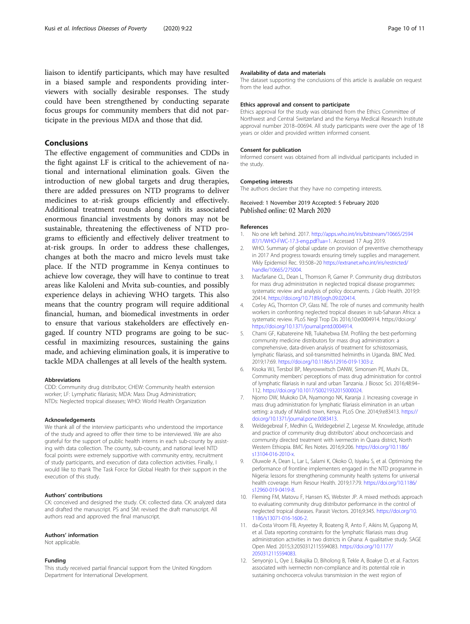<span id="page-9-0"></span>liaison to identify participants, which may have resulted in a biased sample and respondents providing interviewers with socially desirable responses. The study could have been strengthened by conducting separate focus groups for community members that did not participate in the previous MDA and those that did.

# Conclusions

The effective engagement of communities and CDDs in the fight against LF is critical to the achievement of national and international elimination goals. Given the introduction of new global targets and drug therapies, there are added pressures on NTD programs to deliver medicines to at-risk groups efficiently and effectively. Additional treatment rounds along with its associated enormous financial investments by donors may not be sustainable, threatening the effectiveness of NTD programs to efficiently and effectively deliver treatment to at-risk groups. In order to address these challenges, changes at both the macro and micro levels must take place. If the NTD programme in Kenya continues to achieve low coverage, they will have to continue to treat areas like Kaloleni and Mvita sub-counties, and possibly experience delays in achieving WHO targets. This also means that the country program will require additional financial, human, and biomedical investments in order to ensure that various stakeholders are effectively engaged. If country NTD programs are going to be successful in maximizing resources, sustaining the gains made, and achieving elimination goals, it is imperative to tackle MDA challenges at all levels of the health system.

#### Abbreviations

CDD: Community drug distributor; CHEW: Community health extension worker; LF: Lymphatic filariasis; MDA: Mass Drug Administration; NTDs: Neglected tropical diseases; WHO: World Health Organization

#### Acknowledgements

We thank all of the interview participants who understood the importance of the study and agreed to offer their time to be interviewed. We are also grateful for the support of public health interns in each sub-county by assisting with data collection. The county, sub-county, and national level NTD focal points were extremely supportive with community entry, recruitment of study participants, and execution of data collection activities. Finally, I would like to thank The Task Force for Global Health for their support in the execution of this study.

#### Authors' contributions

CK: conceived and designed the study. CK: collected data. CK: analyzed data and drafted the manuscript. PS and SM: revised the draft manuscript. All authors read and approved the final manuscript.

#### Authors' information

Not applicable.

#### Funding

This study received partial financial support from the United Kingdom Department for International Development.

#### Availability of data and materials

The dataset supporting the conclusions of this article is available on request from the lead author.

#### Ethics approval and consent to participate

Ethics approval for the study was obtained from the Ethics Committee of Northwest and Central Switzerland and the Kenya Medical Research Institute approval number 2018–00694. All study participants were over the age of 18 years or older and provided written informed consent.

#### Consent for publication

Informed consent was obtained from all individual participants included in the study.

#### Competing interests

The authors declare that they have no competing interests.

#### Received: 1 November 2019 Accepted: 5 February 2020 Published online: 02 March 2020

#### References

- 1. No one left behind. 2017. [http://apps.who.int/iris/bitstream/10665/2594](http://apps.who.int/iris/bitstream/10665/259487/1/WHO-FWC-17.3-eng.pdf?ua=1) [87/1/WHO-FWC-17.3-eng.pdf?ua=1.](http://apps.who.int/iris/bitstream/10665/259487/1/WHO-FWC-17.3-eng.pdf?ua=1) Accessed 17 Aug 2019.
- 2. WHO. Summary of global update on provision of preventive chemotherapy in 2017 And progress towards ensuring timely supplies and management. Wkly Epidemiol Rec. 93:508–20 [https://extranet.who.int/iris/restricted/](https://extranet.who.int/iris/restricted/handle/10665/275004) [handle/10665/275004.](https://extranet.who.int/iris/restricted/handle/10665/275004)
- 3. Macfarlane CL, Dean L, Thomson R, Garner P. Community drug distributors for mass drug administration in neglected tropical disease programmes: systematic review and analysis of policy documents. J Glob Health. 2019;9: 20414. [https://doi.org/10.7189/jogh.09.020414.](https://doi.org/10.7189/jogh.09.020414)
- 4. Corley AG, Thornton CP, Glass NE. The role of nurses and community health workers in confronting neglected tropical diseases in sub-Saharan Africa: a systematic review. PLoS Negl Trop Dis 2016;10:e0004914. https://doi.org/ <https://doi.org/10.1371/journal.pntd.0004914>.
- 5. Chami GF, Kabatereine NB, Tukahebwa EM. Profiling the best-performing community medicine distributors for mass drug administration: a comprehensive, data-driven analysis of treatment for schistosomiasis, lymphatic filariasis, and soil-transmitted helminths in Uganda. BMC Med. 2019;17:69. [https://doi.org/10.1186/s12916-019-1303-z.](https://doi.org/10.1186/s12916-019-1303-z)
- 6. Kisoka WJ, Tersbol BP, Meyrowwitsch DANW, Simonsen PE, Mushi DL. Community members' perceptions of mass drug administration for control of lymphatic filariasis in rural and urban Tanzania. J Biosoc Sci. 2016;48:94– 112. <https://doi.org/10.1017/S0021932015000024>.
- 7. Njomo DW, Mukoko DA, Nyamongo NK, Karanja J. Increasing coverage in mass drug administration for lymphatic filariasis elimination in an urban setting: a study of Malindi town, Kenya. PLoS One. 2014;9:e83413. [https://](https://doi.org/10.1371/journal.pone.0083413) [doi.org/10.1371/journal.pone.0083413.](https://doi.org/10.1371/journal.pone.0083413)
- 8. Weldegebreal F, Medhin G, Weldegebriel Z, Legesse M. Knowledge, attitude and practice of community drug distributors' about onchocerciasis and community directed treatment with ivermectin in Quara district, North Western Ethiopia. BMC Res Notes. 2016;9:206. [https://doi.org/10.1186/](https://doi.org/10.1186/s13104-016-2010-x) [s13104-016-2010-x.](https://doi.org/10.1186/s13104-016-2010-x)
- 9. Oluwole A, Dean L, Lar L, Salami K, Okoko O, Isiyaku S, et al. Optimising the performance of frontline implementers engaged in the NTD programme in Nigeria: lessons for strengthening community health systems for universal health coverage. Hum Resour Health. 2019;17:79. [https://doi.org/10.1186/](https://doi.org/10.1186/s12960-019-0419-8) [s12960-019-0419-8.](https://doi.org/10.1186/s12960-019-0419-8)
- 10. Fleming FM, Matovu F, Hansen KS, Webster JP. A mixed methods approach to evaluating community drug distributor performance in the control of neglected tropical diseases. Parasit Vectors. 2016;9:345. [https://doi.org/10.](https://doi.org/10.1186/s13071-016-1606-2) [1186/s13071-016-1606-2](https://doi.org/10.1186/s13071-016-1606-2).
- 11. da-Costa Vroom FB, Aryeetey R, Boateng R, Anto F, Aikins M, Gyapong M, et al. Data reporting constraints for the lymphatic filariasis mass drug administration activities in two districts in Ghana: A qualitative study. SAGE Open Med. 2015;3:2050312115594083. [https://doi.org/10.1177/](https://doi.org/10.1177/2050312115594083) [2050312115594083](https://doi.org/10.1177/2050312115594083).
- 12. Senyonjo L, Oye J, Bakajika D, Biholong B, Tekle A, Boakye D, et al. Factors associated with ivermectin non-compliance and its potential role in sustaining onchocerca volvulus transmission in the west region of